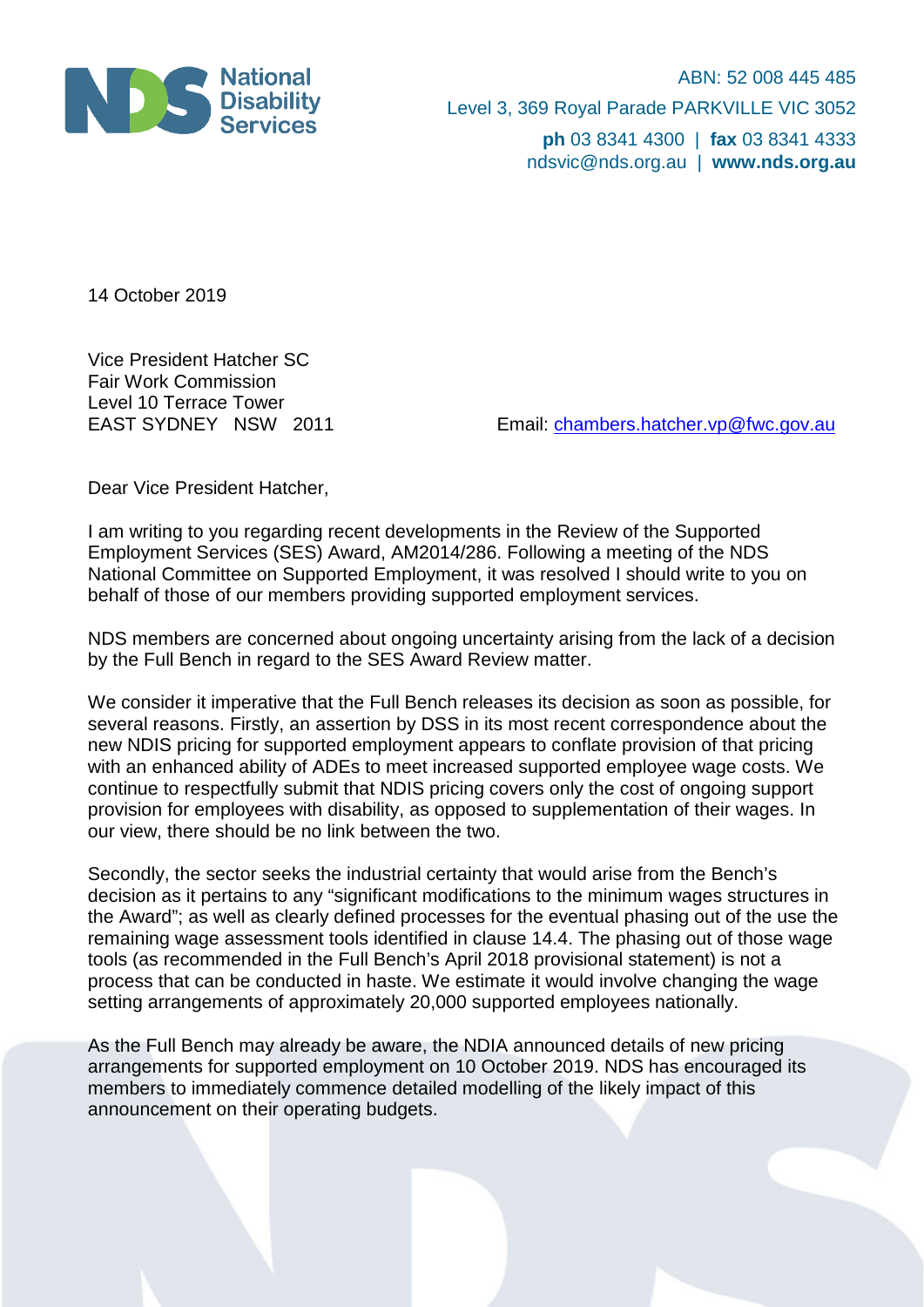

ABN: 52 008 445 485 Level 3, 369 Royal Parade PARKVILLE VIC 3052 **ph** 03 8341 4300 | **fax** 03 8341 4333 ndsvic@nds.org.au | **www.nds.org.au**

14 October 2019

Vice President Hatcher SC Fair Work Commission Level 10 Terrace Tower<br>EAST SYDNEY NSW 2011

Email: [chambers.hatcher.vp@fwc.gov.au](mailto:chambers.hatcher.vp@fwc.gov.au)

Dear Vice President Hatcher,

I am writing to you regarding recent developments in the Review of the Supported Employment Services (SES) Award, AM2014/286. Following a meeting of the NDS National Committee on Supported Employment, it was resolved I should write to you on behalf of those of our members providing supported employment services.

NDS members are concerned about ongoing uncertainty arising from the lack of a decision by the Full Bench in regard to the SES Award Review matter.

We consider it imperative that the Full Bench releases its decision as soon as possible, for several reasons. Firstly, an assertion by DSS in its most recent correspondence about the new NDIS pricing for supported employment appears to conflate provision of that pricing with an enhanced ability of ADEs to meet increased supported employee wage costs. We continue to respectfully submit that NDIS pricing covers only the cost of ongoing support provision for employees with disability, as opposed to supplementation of their wages. In our view, there should be no link between the two.

Secondly, the sector seeks the industrial certainty that would arise from the Bench's decision as it pertains to any "significant modifications to the minimum wages structures in the Award"; as well as clearly defined processes for the eventual phasing out of the use the remaining wage assessment tools identified in clause 14.4. The phasing out of those wage tools (as recommended in the Full Bench's April 2018 provisional statement) is not a process that can be conducted in haste. We estimate it would involve changing the wage setting arrangements of approximately 20,000 supported employees nationally.

As the Full Bench may already be aware, the NDIA announced details of new pricing arrangements for supported employment on 10 October 2019. NDS has encouraged its members to immediately commence detailed modelling of the likely impact of this announcement on their operating budgets.